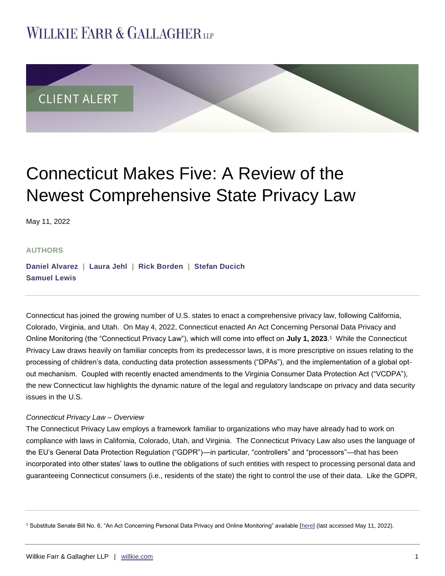## **WILLKIE FARR & GALLAGHERUP**



# Connecticut Makes Five: A Review of the Newest Comprehensive State Privacy Law

May 11, 2022

#### **AUTHORS**

**[Daniel Alvarez](https://www.willkie.com/professionals/a/alvarez-daniel) | [Laura Jehl](https://www.willkie.com/professionals/j/jehl-laura) | [Rick Borden](https://www.willkie.com/professionals/b/borden-rick) | [Stefan Ducich](https://www.willkie.com/professionals/d/ducich-stefan) [Samuel](https://www.willkie.com/professionals/l/lewis-samuel) Lewis**

Connecticut has joined the growing number of U.S. states to enact a comprehensive privacy law, following California, Colorado, Virginia, and Utah. On May 4, 2022, Connecticut enacted An Act Concerning Personal Data Privacy and Online Monitoring (the "Connecticut Privacy Law"), which will come into effect on July 1, 2023.<sup>1</sup> While the Connecticut Privacy Law draws heavily on familiar concepts from its predecessor laws, it is more prescriptive on issues relating to the processing of children's data, conducting data protection assessments ("DPAs"), and the implementation of a global optout mechanism. Coupled with recently enacted amendments to the Virginia Consumer Data Protection Act ("VCDPA"), the new Connecticut law highlights the dynamic nature of the legal and regulatory landscape on privacy and data security issues in the U.S.

#### *Connecticut Privacy Law – Overview*

The Connecticut Privacy Law employs a framework familiar to organizations who may have already had to work on compliance with laws in California, Colorado, Utah, and Virginia. The Connecticut Privacy Law also uses the language of the EU's General Data Protection Regulation ("GDPR")—in particular, "controllers" and "processors"—that has been incorporated into other states' laws to outline the obligations of such entities with respect to processing personal data and guaranteeing Connecticut consumers (i.e., residents of the state) the right to control the use of their data. Like the GDPR,

<sup>1</sup> Substitute Senate Bill No. 6, "An Act Concerning Personal Data Privacy and Online Monitoring" available [\[here\]](https://www.cga.ct.gov/2022/ACT/PA/PDF/2022PA-00015-R00SB-00006-PA.PDF) (last accessed May 11, 2022).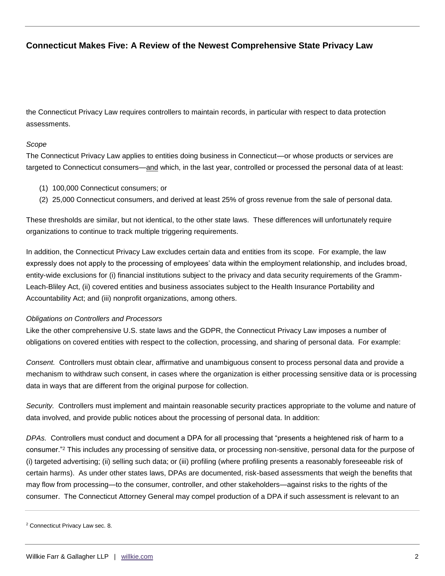## **Connecticut Makes Five: A Review of the Newest Comprehensive State Privacy Law**

the Connecticut Privacy Law requires controllers to maintain records, in particular with respect to data protection assessments.

#### *Scope*

The Connecticut Privacy Law applies to entities doing business in Connecticut—or whose products or services are targeted to Connecticut consumers—and which, in the last year, controlled or processed the personal data of at least:

- (1) 100,000 Connecticut consumers; or
- (2) 25,000 Connecticut consumers, and derived at least 25% of gross revenue from the sale of personal data.

These thresholds are similar, but not identical, to the other state laws. These differences will unfortunately require organizations to continue to track multiple triggering requirements.

In addition, the Connecticut Privacy Law excludes certain data and entities from its scope. For example, the law expressly does not apply to the processing of employees' data within the employment relationship, and includes broad, entity-wide exclusions for (i) financial institutions subject to the privacy and data security requirements of the Gramm-Leach-Bliley Act, (ii) covered entities and business associates subject to the Health Insurance Portability and Accountability Act; and (iii) nonprofit organizations, among others.

#### *Obligations on Controllers and Processors*

Like the other comprehensive U.S. state laws and the GDPR, the Connecticut Privacy Law imposes a number of obligations on covered entities with respect to the collection, processing, and sharing of personal data. For example:

*Consent.* Controllers must obtain clear, affirmative and unambiguous consent to process personal data and provide a mechanism to withdraw such consent, in cases where the organization is either processing sensitive data or is processing data in ways that are different from the original purpose for collection.

*Security.* Controllers must implement and maintain reasonable security practices appropriate to the volume and nature of data involved, and provide public notices about the processing of personal data. In addition:

*DPAs.* Controllers must conduct and document a DPA for all processing that "presents a heightened risk of harm to a consumer."<sup>2</sup> This includes any processing of sensitive data, or processing non-sensitive, personal data for the purpose of (i) targeted advertising; (ii) selling such data; or (iii) profiling (where profiling presents a reasonably foreseeable risk of certain harms). As under other states laws, DPAs are documented, risk-based assessments that weigh the benefits that may flow from processing—to the consumer, controller, and other stakeholders—against risks to the rights of the consumer. The Connecticut Attorney General may compel production of a DPA if such assessment is relevant to an

<sup>2</sup> Connecticut Privacy Law sec. 8.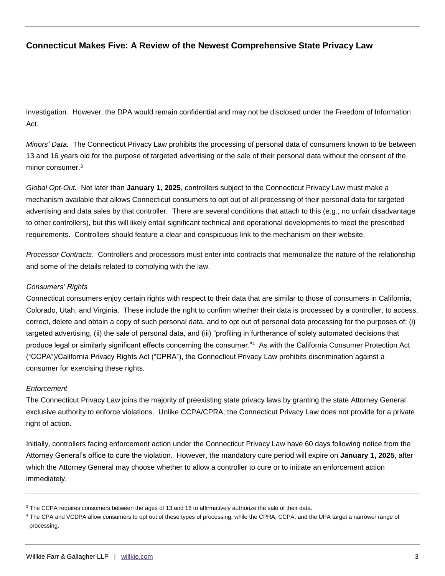## **Connecticut Makes Five: A Review of the Newest Comprehensive State Privacy Law**

investigation. However, the DPA would remain confidential and may not be disclosed under the Freedom of Information Act.

*Minors' Data.* The Connecticut Privacy Law prohibits the processing of personal data of consumers known to be between 13 and 16 years old for the purpose of targeted advertising or the sale of their personal data without the consent of the minor consumer.<sup>3</sup>

*Global Opt-Out.* Not later than **January 1, 2025**, controllers subject to the Connecticut Privacy Law must make a mechanism available that allows Connecticut consumers to opt out of all processing of their personal data for targeted advertising and data sales by that controller. There are several conditions that attach to this (e.g., no unfair disadvantage to other controllers), but this will likely entail significant technical and operational developments to meet the prescribed requirements. Controllers should feature a clear and conspicuous link to the mechanism on their website.

*Processor Contracts*. Controllers and processors must enter into contracts that memorialize the nature of the relationship and some of the details related to complying with the law.

#### *Consumers' Rights*

Connecticut consumers enjoy certain rights with respect to their data that are similar to those of consumers in California, Colorado, Utah, and Virginia. These include the right to confirm whether their data is processed by a controller, to access, correct, delete and obtain a copy of such personal data, and to opt out of personal data processing for the purposes of: (i) targeted advertising, (ii) the sale of personal data, and (iii) "profiling in furtherance of solely automated decisions that produce legal or similarly significant effects concerning the consumer."<sup>4</sup> As with the California Consumer Protection Act ("CCPA")/California Privacy Rights Act ("CPRA"), the Connecticut Privacy Law prohibits discrimination against a consumer for exercising these rights.

#### *Enforcement*

The Connecticut Privacy Law joins the majority of preexisting state privacy laws by granting the state Attorney General exclusive authority to enforce violations. Unlike CCPA/CPRA, the Connecticut Privacy Law does not provide for a private right of action.

Initially, controllers facing enforcement action under the Connecticut Privacy Law have 60 days following notice from the Attorney General's office to cure the violation. However, the mandatory cure period will expire on **January 1, 2025**, after which the Attorney General may choose whether to allow a controller to cure or to initiate an enforcement action immediately.

<sup>&</sup>lt;sup>3</sup> The CCPA requires consumers between the ages of 13 and 16 to affirmatively authorize the sale of their data.

<sup>4</sup> The CPA and VCDPA allow consumers to opt out of these types of processing, while the CPRA, CCPA, and the UPA target a narrower range of processing.